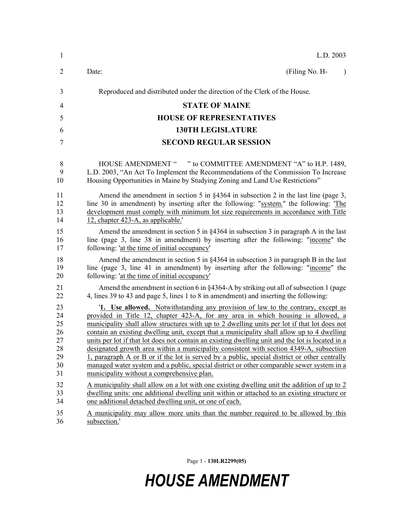| $\mathbf{1}$   | L.D. 2003                                                                                        |
|----------------|--------------------------------------------------------------------------------------------------|
| $\overline{2}$ | (Filing No. H-<br>Date:<br>$\lambda$                                                             |
| 3              | Reproduced and distributed under the direction of the Clerk of the House.                        |
| 4              | <b>STATE OF MAINE</b>                                                                            |
| 5              | <b>HOUSE OF REPRESENTATIVES</b>                                                                  |
| 6              | <b>130TH LEGISLATURE</b>                                                                         |
| 7              | <b>SECOND REGULAR SESSION</b>                                                                    |
| 8              | HOUSE AMENDMENT " " to COMMITTEE AMENDMENT "A" to H.P. 1489,                                     |
| 9              | L.D. 2003, "An Act To Implement the Recommendations of the Commission To Increase                |
| 10             | Housing Opportunities in Maine by Studying Zoning and Land Use Restrictions"                     |
| 11             | Amend the amendment in section 5 in $\S$ 4364 in subsection 2 in the last line (page 3,          |
| 12             | line 30 in amendment) by inserting after the following: "system." the following: 'The            |
| 13             | development must comply with minimum lot size requirements in accordance with Title              |
| 14             | 12, chapter 423-A, as applicable.                                                                |
| 15             | Amend the amendment in section 5 in $\S$ 4364 in subsection 3 in paragraph A in the last         |
| 16             | line (page 3, line 38 in amendment) by inserting after the following: "income" the               |
| 17             | following: 'at the time of initial occupancy'                                                    |
| 18             | Amend the amendment in section 5 in $\S$ 4364 in subsection 3 in paragraph B in the last         |
| 19             | line (page 3, line 41 in amendment) by inserting after the following: "income" the               |
| 20             | following: 'at the time of initial occupancy'                                                    |
| 21             | Amend the amendment in section 6 in §4364-A by striking out all of subsection 1 (page            |
| 22             | 4, lines 39 to 43 and page 5, lines 1 to 8 in amendment) and inserting the following:            |
| 23             | <b>1.</b> Use allowed. Notwithstanding any provision of law to the contrary, except as           |
| 24             | provided in Title 12, chapter 423-A, for any area in which housing is allowed, a                 |
| 25             | municipality shall allow structures with up to 2 dwelling units per lot if that lot does not     |
| 26             | contain an existing dwelling unit, except that a municipality shall allow up to 4 dwelling       |
| 27             | units per lot if that lot does not contain an existing dwelling unit and the lot is located in a |
| 28             | designated growth area within a municipality consistent with section 4349-A, subsection          |
| 29             | 1, paragraph A or B or if the lot is served by a public, special district or other centrally     |
| 30             | managed water system and a public, special district or other comparable sewer system in a        |
| 31             | municipality without a comprehensive plan.                                                       |
| 32             | A municipality shall allow on a lot with one existing dwelling unit the addition of up to 2      |
| 33             | dwelling units: one additional dwelling unit within or attached to an existing structure or      |
| 34             | one additional detached dwelling unit, or one of each.                                           |
| 35             | A municipality may allow more units than the number required to be allowed by this               |
| 36             | subsection.'                                                                                     |

Page 1 - **130LR2299(05)**

## *HOUSE AMENDMENT*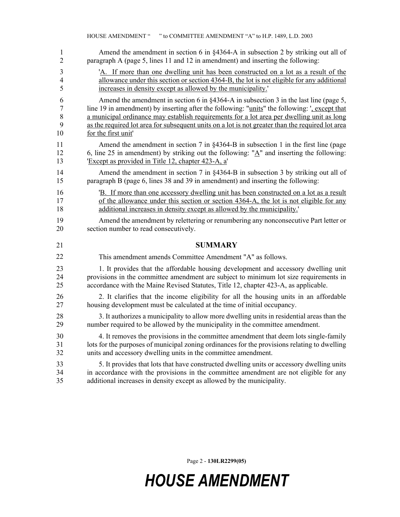| 1              | Amend the amendment in section 6 in §4364-A in subsection 2 by striking out all of                       |
|----------------|----------------------------------------------------------------------------------------------------------|
| 2              | paragraph A (page 5, lines 11 and 12 in amendment) and inserting the following:                          |
| 3              | 'A. If more than one dwelling unit has been constructed on a lot as a result of the                      |
| $\overline{4}$ | allowance under this section or section 4364-B, the lot is not eligible for any additional               |
| 5              | increases in density except as allowed by the municipality.'                                             |
| 6              | Amend the amendment in section 6 in $\S$ 4364-A in subsection 3 in the last line (page 5,                |
| 7              | line 19 in amendment) by inserting after the following: "units" the following: ', except that            |
| 8              | a municipal ordinance may establish requirements for a lot area per dwelling unit as long                |
| 9              | as the required lot area for subsequent units on a lot is not greater than the required lot area         |
| 10             | for the first unit'                                                                                      |
| 11             | Amend the amendment in section 7 in $\S$ 4364-B in subsection 1 in the first line (page                  |
| 12             | 6, line 25 in amendment) by striking out the following: " $\underline{A}$ " and inserting the following: |
| 13             | 'Except as provided in Title 12, chapter 423-A, a'                                                       |
| 14             | Amend the amendment in section 7 in §4364-B in subsection 3 by striking out all of                       |
| 15             | paragraph B (page 6, lines 38 and 39 in amendment) and inserting the following:                          |
| 16             | B. If more than one accessory dwelling unit has been constructed on a lot as a result                    |
| 17             | of the allowance under this section or section 4364-A, the lot is not eligible for any                   |
| 18             | additional increases in density except as allowed by the municipality.                                   |
| 19             | Amend the amendment by relettering or renumbering any nonconsecutive Part letter or                      |
| 20             | section number to read consecutively.                                                                    |
| 21             | <b>SUMMARY</b>                                                                                           |
| 22             | This amendment amends Committee Amendment "A" as follows.                                                |
| 23             | 1. It provides that the affordable housing development and accessory dwelling unit                       |
| 24             | provisions in the committee amendment are subject to minimum lot size requirements in                    |
| 25             | accordance with the Maine Revised Statutes, Title 12, chapter 423-A, as applicable.                      |
| 26             | 2. It clarifies that the income eligibility for all the housing units in an affordable                   |
| 27             | housing development must be calculated at the time of initial occupancy.                                 |
| 28             | 3. It authorizes a municipality to allow more dwelling units in residential areas than the               |
| 29             | number required to be allowed by the municipality in the committee amendment.                            |
| 30             | 4. It removes the provisions in the committee amendment that deem lots single-family                     |
| 31             | lots for the purposes of municipal zoning ordinances for the provisions relating to dwelling             |
| 32             | units and accessory dwelling units in the committee amendment.                                           |
| 33             | 5. It provides that lots that have constructed dwelling units or accessory dwelling units                |
| 34             | in accordance with the provisions in the committee amendment are not eligible for any                    |
| 35             | additional increases in density except as allowed by the municipality.                                   |

Page 2 - **130LR2299(05)**

## *HOUSE AMENDMENT*